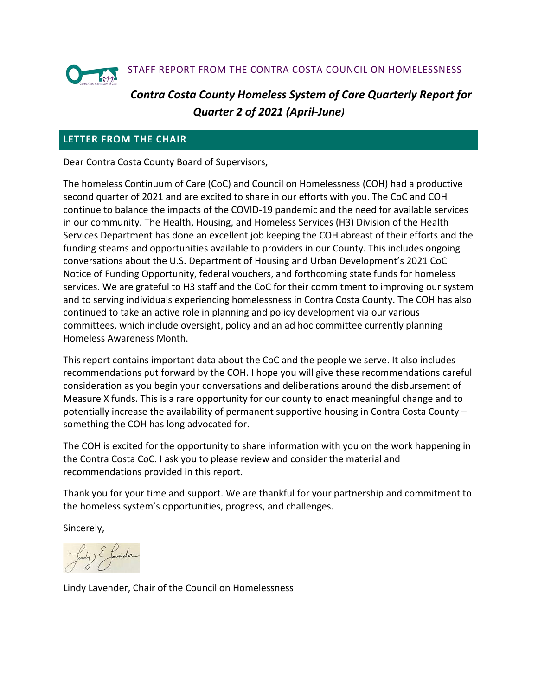

# *Contra Costa County Homeless System of Care Quarterly Report for Quarter 2 of 2021 (April-June)*

### **LETTER FROM THE CHAIR**

Dear Contra Costa County Board of Supervisors,

The homeless Continuum of Care (CoC) and Council on Homelessness (COH) had a productive second quarter of 2021 and are excited to share in our efforts with you. The CoC and COH continue to balance the impacts of the COVID-19 pandemic and the need for available services in our community. The Health, Housing, and Homeless Services (H3) Division of the Health Services Department has done an excellent job keeping the COH abreast of their efforts and the funding steams and opportunities available to providers in our County. This includes ongoing conversations about the U.S. Department of Housing and Urban Development's 2021 CoC Notice of Funding Opportunity, federal vouchers, and forthcoming state funds for homeless services. We are grateful to H3 staff and the CoC for their commitment to improving our system and to serving individuals experiencing homelessness in Contra Costa County. The COH has also continued to take an active role in planning and policy development via our various committees, which include oversight, policy and an ad hoc committee currently planning Homeless Awareness Month.

This report contains important data about the CoC and the people we serve. It also includes recommendations put forward by the COH. I hope you will give these recommendations careful consideration as you begin your conversations and deliberations around the disbursement of Measure X funds. This is a rare opportunity for our county to enact meaningful change and to potentially increase the availability of permanent supportive housing in Contra Costa County – something the COH has long advocated for.

The COH is excited for the opportunity to share information with you on the work happening in the Contra Costa CoC. I ask you to please review and consider the material and recommendations provided in this report.

Thank you for your time and support. We are thankful for your partnership and commitment to the homeless system's opportunities, progress, and challenges.

Sincerely,

Lindy Lavender, Chair of the Council on Homelessness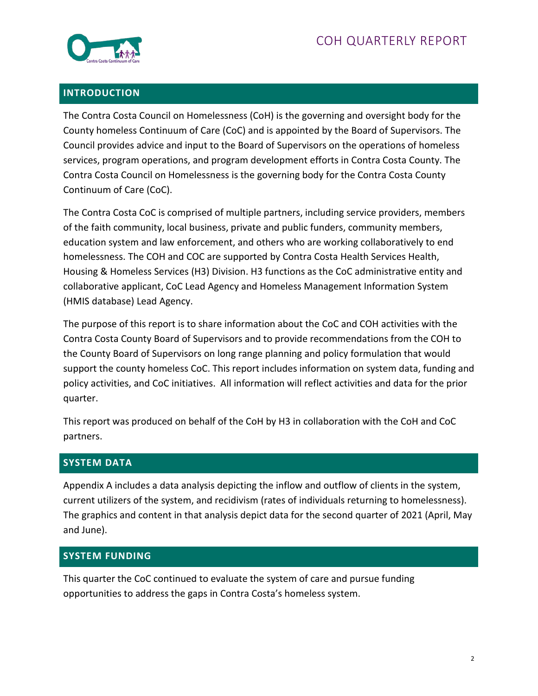

### **INTRODUCTION**

The Contra Costa Council on Homelessness (CoH) is the governing and oversight body for the County homeless Continuum of Care (CoC) and is appointed by the Board of Supervisors. The Council provides advice and input to the Board of Supervisors on the operations of homeless services, program operations, and program development efforts in Contra Costa County. The Contra Costa Council on Homelessness is the governing body for the Contra Costa County Continuum of Care (CoC).

The Contra Costa CoC is comprised of multiple partners, including service providers, members of the faith community, local business, private and public funders, community members, education system and law enforcement, and others who are working collaboratively to end homelessness. The COH and COC are supported by Contra Costa Health Services Health, Housing & Homeless Services (H3) Division. H3 functions as the CoC administrative entity and collaborative applicant, CoC Lead Agency and Homeless Management Information System (HMIS database) Lead Agency.

The purpose of this report is to share information about the CoC and COH activities with the Contra Costa County Board of Supervisors and to provide recommendations from the COH to the County Board of Supervisors on long range planning and policy formulation that would support the county homeless CoC. This report includes information on system data, funding and policy activities, and CoC initiatives. All information will reflect activities and data for the prior quarter.

This report was produced on behalf of the CoH by H3 in collaboration with the CoH and CoC partners.

### **SYSTEM DATA**

Appendix A includes a data analysis depicting the inflow and outflow of clients in the system, current utilizers of the system, and recidivism (rates of individuals returning to homelessness). The graphics and content in that analysis depict data for the second quarter of 2021 (April, May and June).

### **SYSTEM FUNDING**

This quarter the CoC continued to evaluate the system of care and pursue funding opportunities to address the gaps in Contra Costa's homeless system.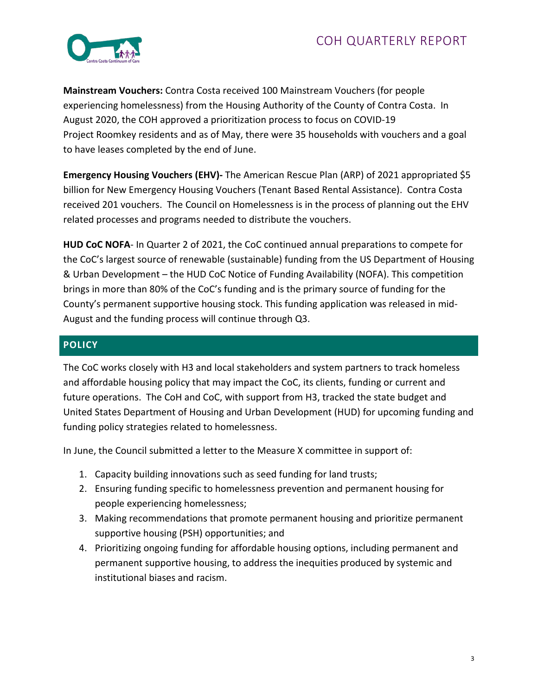

**Mainstream Vouchers:** Contra Costa received 100 Mainstream Vouchers (for people experiencing homelessness) from the Housing Authority of the County of Contra Costa. In August 2020, the COH approved a prioritization process to focus on COVID-19 Project Roomkey residents and as of May, there were 35 households with vouchers and a goal to have leases completed by the end of June.

Emergency Housing Vouchers (EHV)- The American Rescue Plan (ARP) of 2021 appropriated \$5 billion for New Emergency Housing Vouchers (Tenant Based Rental Assistance). Contra Costa received 201 vouchers. The Council on Homelessness is in the process of planning out the EHV related processes and programs needed to distribute the vouchers.

**HUD CoC NOFA**- In Quarter 2 of 2021, the CoC continued annual preparations to compete for the CoC's largest source of renewable (sustainable) funding from the US Department of Housing & Urban Development – the HUD CoC Notice of Funding Availability (NOFA). This competition brings in more than 80% of the CoC's funding and is the primary source of funding for the County's permanent supportive housing stock. This funding application was released in mid-August and the funding process will continue through Q3.

### **POLICY**

The CoC works closely with H3 and local stakeholders and system partners to track homeless and affordable housing policy that may impact the CoC, its clients, funding or current and future operations. The CoH and CoC, with support from H3, tracked the state budget and United States Department of Housing and Urban Development (HUD) for upcoming funding and funding policy strategies related to homelessness.

In June, the Council submitted a letter to the Measure X committee in support of:

- 1. Capacity building innovations such as seed funding for land trusts;
- 2. Ensuring funding specific to homelessness prevention and permanent housing for people experiencing homelessness;
- 3. Making recommendations that promote permanent housing and prioritize permanent supportive housing (PSH) opportunities; and
- 4. Prioritizing ongoing funding for affordable housing options, including permanent and permanent supportive housing, to address the inequities produced by systemic and institutional biases and racism.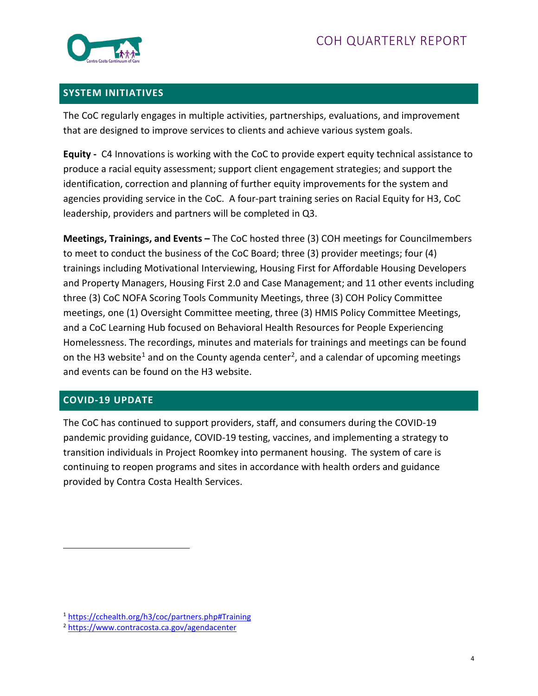

### **SYSTEM INITIATIVES**

The CoC regularly engages in multiple activities, partnerships, evaluations, and improvement that are designed to improve services to clients and achieve various system goals.

**Equity -** C4 Innovations is working with the CoC to provide expert equity technical assistance to produce a racial equity assessment; support client engagement strategies; and support the identification, correction and planning of further equity improvements for the system and agencies providing service in the CoC. A four-part training series on Racial Equity for H3, CoC leadership, providers and partners will be completed in Q3.

**Meetings, Trainings, and Events –** The CoC hosted three (3) COH meetings for Councilmembers to meet to conduct the business of the CoC Board; three (3) provider meetings; four (4) trainings including Motivational Interviewing, Housing First for Affordable Housing Developers and Property Managers, Housing First 2.0 and Case Management; and 11 other events including three (3) CoC NOFA Scoring Tools Community Meetings, three (3) COH Policy Committee meetings, one (1) Oversight Committee meeting, three (3) HMIS Policy Committee Meetings, and a CoC Learning Hub focused on Behavioral Health Resources for People Experiencing Homelessness. The recordings, minutes and materials for trainings and meetings can be found on the H3 website<sup>1</sup> and on the County agenda center<sup>2</sup>, and a calendar of upcoming meetings and events can be found on the H3 website.

### **COVID-19 UPDATE**

The CoC has continued to support providers, staff, and consumers during the COVID-19 pandemic providing guidance, COVID-19 testing, vaccines, and implementing a strategy to transition individuals in Project Roomkey into permanent housing. The system of care is continuing to reopen programs and sites in accordance with health orders and guidance provided by Contra Costa Health Services.

<span id="page-3-0"></span><sup>1</sup> <https://cchealth.org/h3/coc/partners.php#Training>

<span id="page-3-1"></span><sup>2</sup> <https://www.contracosta.ca.gov/agendacenter>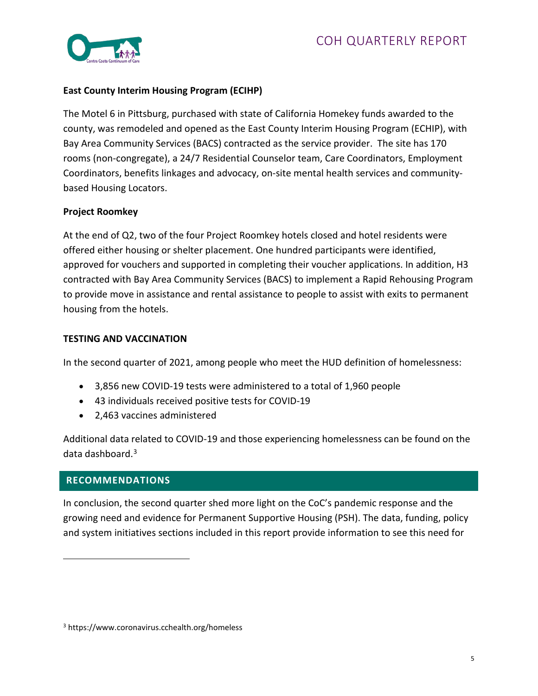

### **East County Interim Housing Program (ECIHP)**

The Motel 6 in Pittsburg, purchased with state of California Homekey funds awarded to the county, was remodeled and opened as the East County Interim Housing Program (ECHIP), with Bay Area Community Services (BACS) contracted as the service provider. The site has 170 rooms (non-congregate), a 24/7 Residential Counselor team, Care Coordinators, Employment Coordinators, benefits linkages and advocacy, on-site mental health services and communitybased Housing Locators.

#### **Project Roomkey**

At the end of Q2, two of the four Project Roomkey hotels closed and hotel residents were offered either housing or shelter placement. One hundred participants were identified, approved for vouchers and supported in completing their voucher applications. In addition, H3 contracted with Bay Area Community Services (BACS) to implement a Rapid Rehousing Program to provide move in assistance and rental assistance to people to assist with exits to permanent housing from the hotels.

#### **TESTING AND VACCINATION**

In the second quarter of 2021, among people who meet the HUD definition of homelessness:

- 3,856 new COVID-19 tests were administered to a total of 1,960 people
- 43 individuals received positive tests for COVID-19
- 2,463 vaccines administered

Additional data related to COVID-19 and those experiencing homelessness can be found on the data dashboard. $3$ 

### **RECOMMENDATIONS**

In conclusion, the second quarter shed more light on the CoC's pandemic response and the growing need and evidence for Permanent Supportive Housing (PSH). The data, funding, policy and system initiatives sections included in this report provide information to see this need for

<span id="page-4-0"></span><sup>3</sup> https://www.coronavirus.cchealth.org/homeless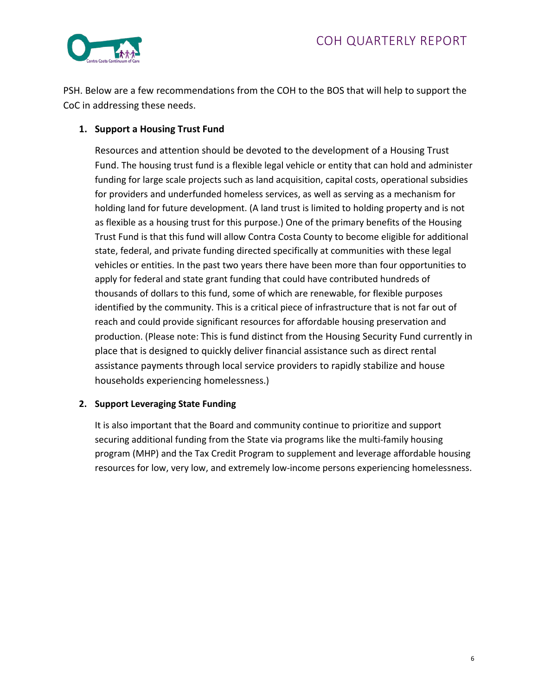

PSH. Below are a few recommendations from the COH to the BOS that will help to support the CoC in addressing these needs.

#### **1. Support a Housing Trust Fund**

Resources and attention should be devoted to the development of a Housing Trust Fund. The housing trust fund is a flexible legal vehicle or entity that can hold and administer funding for large scale projects such as land acquisition, capital costs, operational subsidies for providers and underfunded homeless services, as well as serving as a mechanism for holding land for future development. (A land trust is limited to holding property and is not as flexible as a housing trust for this purpose.) One of the primary benefits of the Housing Trust Fund is that this fund will allow Contra Costa County to become eligible for additional state, federal, and private funding directed specifically at communities with these legal vehicles or entities. In the past two years there have been more than four opportunities to apply for federal and state grant funding that could have contributed hundreds of thousands of dollars to this fund, some of which are renewable, for flexible purposes identified by the community. This is a critical piece of infrastructure that is not far out of reach and could provide significant resources for affordable housing preservation and production. (Please note: This is fund distinct from the Housing Security Fund currently in place that is designed to quickly deliver financial assistance such as direct rental assistance payments through local service providers to rapidly stabilize and house households experiencing homelessness.)

### **2. Support Leveraging State Funding**

It is also important that the Board and community continue to prioritize and support securing additional funding from the State via programs like the multi-family housing program (MHP) and the Tax Credit Program to supplement and leverage affordable housing resources for low, very low, and extremely low-income persons experiencing homelessness.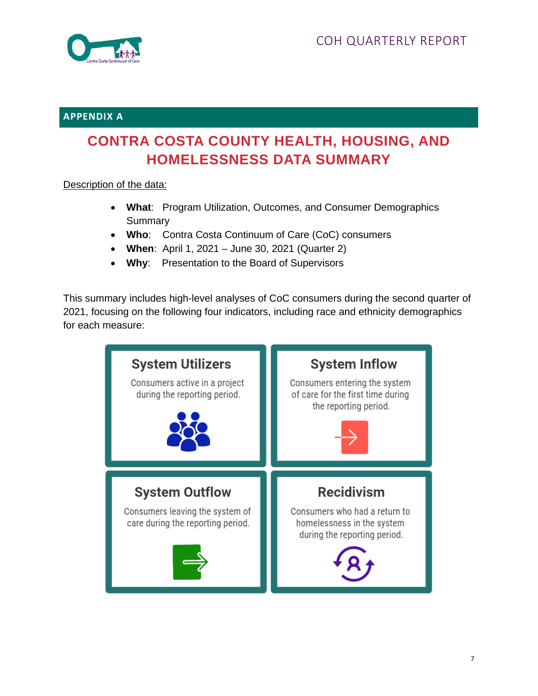

### **APPENDIX A**

# **CONTRA COSTA COUNTY HEALTH, HOUSING, AND HOMELESSNESS DATA SUMMARY**

Description of the data:

- **What**: Program Utilization, Outcomes, and Consumer Demographics Summary
- **Who**: Contra Costa Continuum of Care (CoC) consumers
- **When**: April 1, 2021 June 30, 2021 (Quarter 2)
- **Why**: Presentation to the Board of Supervisors

This summary includes high-level analyses of CoC consumers during the second quarter of 2021, focusing on the following four indicators, including race and ethnicity demographics for each measure:

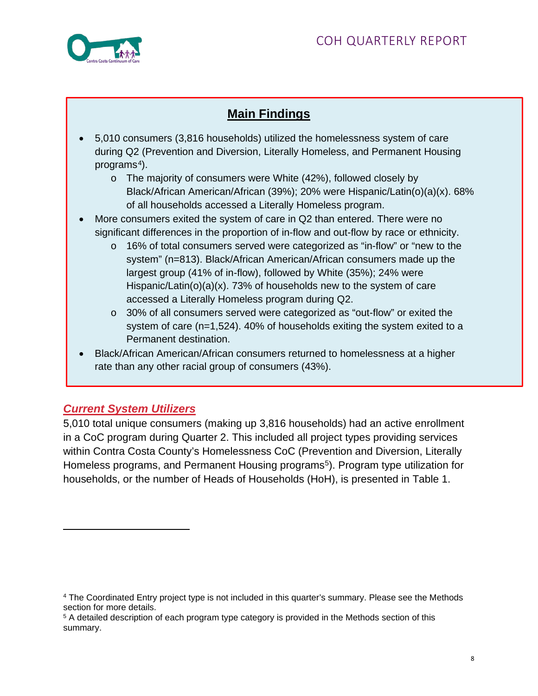

# **Main Findings**

- 5,010 consumers (3,816 households) utilized the homelessness system of care during Q2 (Prevention and Diversion, Literally Homeless, and Permanent Housing programs<sup>[4](#page-7-0)</sup>).
	- o The majority of consumers were White (42%), followed closely by Black/African American/African (39%); 20% were Hispanic/Latin(o)(a)(x). 68% of all households accessed a Literally Homeless program.
- More consumers exited the system of care in Q2 than entered. There were no significant differences in the proportion of in-flow and out-flow by race or ethnicity.
	- o 16% of total consumers served were categorized as "in-flow" or "new to the system" (n=813). Black/African American/African consumers made up the largest group (41% of in-flow), followed by White (35%); 24% were Hispanic/Latin(o)(a)(x). 73% of households new to the system of care accessed a Literally Homeless program during Q2.
	- o 30% of all consumers served were categorized as "out-flow" or exited the system of care (n=1,524). 40% of households exiting the system exited to a Permanent destination.
- Black/African American/African consumers returned to homelessness at a higher rate than any other racial group of consumers (43%).

# *Current System Utilizers*

5,010 total unique consumers (making up 3,816 households) had an active enrollment in a CoC program during Quarter 2. This included all project types providing services within Contra Costa County's Homelessness CoC (Prevention and Diversion, Literally Homeless programs, and Permanent Housing programs<sup>[5](#page-7-1)</sup>). Program type utilization for households, or the number of Heads of Households (HoH), is presented in Table 1.

<span id="page-7-0"></span><sup>4</sup> The Coordinated Entry project type is not included in this quarter's summary. Please see the Methods section for more details.

<span id="page-7-1"></span><sup>5</sup> A detailed description of each program type category is provided in the Methods section of this summary.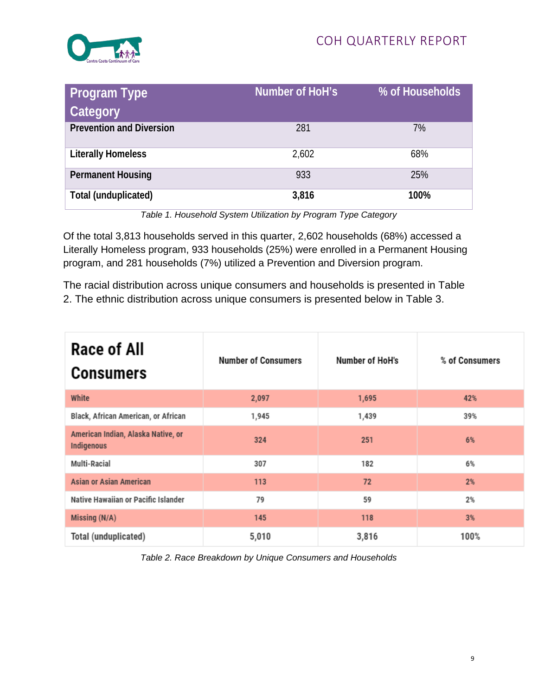

| <b>Program Type</b><br>Category | Number of HoH's | % of Households |
|---------------------------------|-----------------|-----------------|
| <b>Prevention and Diversion</b> | 281             | 7%              |
| <b>Literally Homeless</b>       | 2,602           | 68%             |
| <b>Permanent Housing</b>        | 933             | 25%             |
| Total (unduplicated)            | 3,816           | 100%            |

*Table 1. Household System Utilization by Program Type Category*

Of the total 3,813 households served in this quarter, 2,602 households (68%) accessed a Literally Homeless program, 933 households (25%) were enrolled in a Permanent Housing program, and 281 households (7%) utilized a Prevention and Diversion program.

The racial distribution across unique consumers and households is presented in Table 2. The ethnic distribution across unique consumers is presented below in Table 3.

| Race of All<br><b>Consumers</b>                         | <b>Number of Consumers</b> | Number of HoH's | % of Consumers |
|---------------------------------------------------------|----------------------------|-----------------|----------------|
| White                                                   | 2,097                      | 1,695           | 42%            |
| Black, African American, or African                     | 1,945                      | 1,439           | 39%            |
| American Indian, Alaska Native, or<br><b>Indigenous</b> | 324                        | 251             | 6%             |
| Multi-Racial                                            | 307                        | 182             | 6%             |
| <b>Asian or Asian American</b>                          | 113                        | 72              | 2%             |
| Native Hawaiian or Pacific Islander                     | 79                         | 59              | 2%             |
| Missing (N/A)                                           | 145                        | 118             | 3%             |
| Total (unduplicated)                                    | 5,010                      | 3,816           | 100%           |

*Table 2. Race Breakdown by Unique Consumers and Households*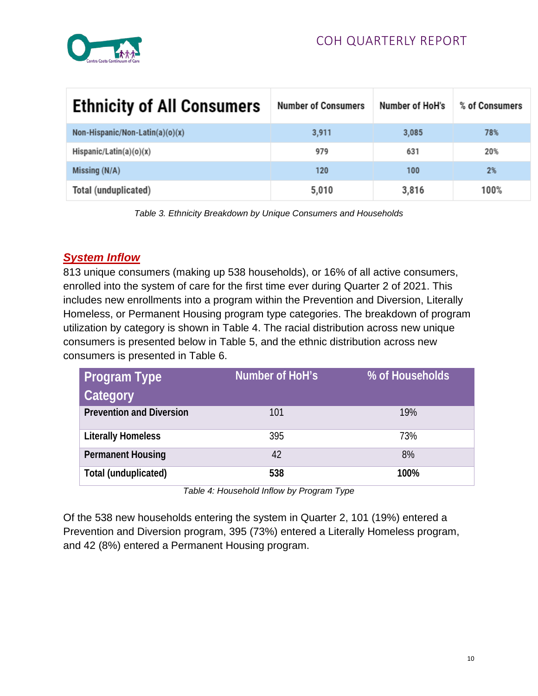

| <b>Ethnicity of All Consumers</b> | <b>Number of Consumers</b> | Number of HoH's | % of Consumers |
|-----------------------------------|----------------------------|-----------------|----------------|
| Non-Hispanic/Non-Latin(a)(o)(x)   | 3,911                      | 3,085           | 78%            |
| Hispanic/Latin(a) $(o)(x)$        | 979                        | 631             | 20%            |
| Missing $(N/A)$                   | 120                        | 100             | 2%             |
| Total (unduplicated)              | 5,010                      | 3,816           | 100%           |

*Table 3. Ethnicity Breakdown by Unique Consumers and Households*

# *System Inflow*

813 unique consumers (making up 538 households), or 16% of all active consumers, enrolled into the system of care for the first time ever during Quarter 2 of 2021. This includes new enrollments into a program within the Prevention and Diversion, Literally Homeless, or Permanent Housing program type categories. The breakdown of program utilization by category is shown in Table 4. The racial distribution across new unique consumers is presented below in Table 5, and the ethnic distribution across new consumers is presented in Table 6.

| <b>Program Type</b>             | Number of HoH's | % of Households |
|---------------------------------|-----------------|-----------------|
| Category                        |                 |                 |
| <b>Prevention and Diversion</b> | 101             | 19%             |
| <b>Literally Homeless</b>       | 395             | 73%             |
| <b>Permanent Housing</b>        | 42              | 8%              |
| Total (unduplicated)            | 538             | 100%            |

*Table 4: Household Inflow by Program Type*

Of the 538 new households entering the system in Quarter 2, 101 (19%) entered a Prevention and Diversion program, 395 (73%) entered a Literally Homeless program, and 42 (8%) entered a Permanent Housing program.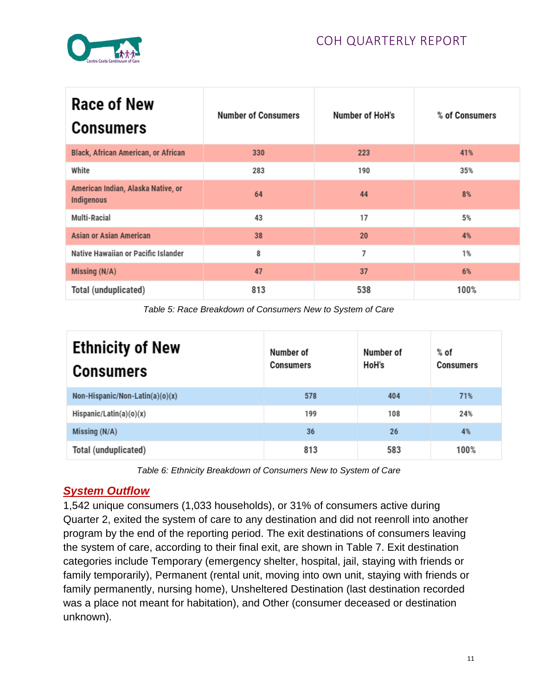

| Race of New<br><b>Consumers</b>                         | <b>Number of Consumers</b> | <b>Number of HoH's</b> | % of Consumers |
|---------------------------------------------------------|----------------------------|------------------------|----------------|
| <b>Black, African American, or African</b>              | 330                        | 223                    | 41%            |
| White                                                   | 283                        | 190                    | 35%            |
| American Indian, Alaska Native, or<br><b>Indigenous</b> | 64                         | 44                     | 8%             |
| Multi-Racial                                            | 43                         | 17                     | 5%             |
| <b>Asian or Asian American</b>                          | 38                         | 20                     | 4%             |
| Native Hawaiian or Pacific Islander                     | 8                          | 7                      | 1%             |
| Missing (N/A)                                           | 47                         | 37                     | 6%             |
| Total (unduplicated)                                    | 813                        | 538                    | 100%           |

*Table 5: Race Breakdown of Consumers New to System of Care*

| <b>Ethnicity of New</b><br><b>Consumers</b> | Number of<br><b>Consumers</b> | Number of<br>HoH's | $%$ of<br><b>Consumers</b> |
|---------------------------------------------|-------------------------------|--------------------|----------------------------|
| Non-Hispanic/Non-Latin(a)(o)(x)             | 578                           | 404                | 71%                        |
| Hispanic/Latin(a)(o)(x)                     | 199                           | 108                | 24%                        |
| Missing (N/A)                               | 36                            | 26                 | 4%                         |
| Total (unduplicated)                        | 813                           | 583                | 100%                       |

*Table 6: Ethnicity Breakdown of Consumers New to System of Care*

# *System Outflow*

1,542 unique consumers (1,033 households), or 31% of consumers active during Quarter 2, exited the system of care to any destination and did not reenroll into another program by the end of the reporting period. The exit destinations of consumers leaving the system of care, according to their final exit, are shown in Table 7. Exit destination categories include Temporary (emergency shelter, hospital, jail, staying with friends or family temporarily), Permanent (rental unit, moving into own unit, staying with friends or family permanently, nursing home), Unsheltered Destination (last destination recorded was a place not meant for habitation), and Other (consumer deceased or destination unknown).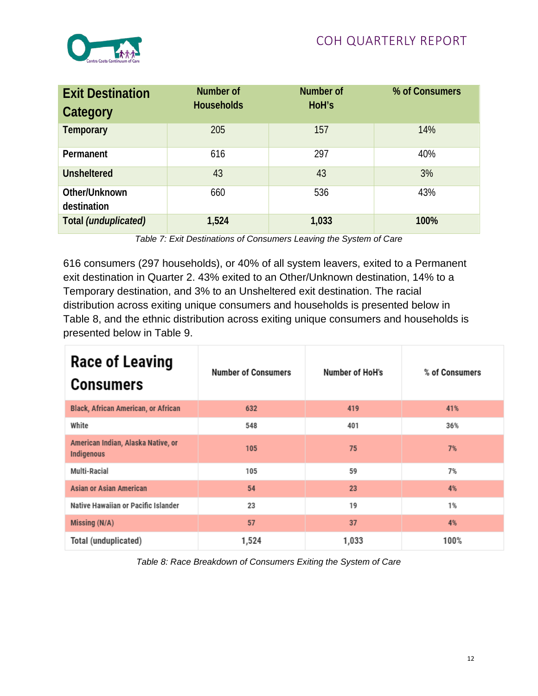

| <b>Exit Destination</b><br>Category | Number of<br><b>Households</b> | <b>Number of</b><br>HoH's | % of Consumers |
|-------------------------------------|--------------------------------|---------------------------|----------------|
| Temporary                           | 205                            | 157                       | 14%            |
| Permanent                           | 616                            | 297                       | 40%            |
| <b>Unsheltered</b>                  | 43                             | 43                        | 3%             |
| Other/Unknown<br>destination        | 660                            | 536                       | 43%            |
| Total (unduplicated)                | 1,524                          | 1,033                     | 100%           |

*Table 7: Exit Destinations of Consumers Leaving the System of Care*

616 consumers (297 households), or 40% of all system leavers, exited to a Permanent exit destination in Quarter 2. 43% exited to an Other/Unknown destination, 14% to a Temporary destination, and 3% to an Unsheltered exit destination. The racial distribution across exiting unique consumers and households is presented below in Table 8, and the ethnic distribution across exiting unique consumers and households is presented below in Table 9.

| <b>Race of Leaving</b><br><b>Consumers</b>              | <b>Number of Consumers</b> | Number of HoH's | % of Consumers |
|---------------------------------------------------------|----------------------------|-----------------|----------------|
| <b>Black, African American, or African</b>              | 632                        | 419             | 41%            |
| White                                                   | 548                        | 401             | 36%            |
| American Indian, Alaska Native, or<br><b>Indigenous</b> | 105                        | 75              | 7%             |
| Multi-Racial                                            | 105                        | 59              | 7%             |
| <b>Asian or Asian American</b>                          | 54                         | 23              | 4%             |
| Native Hawaiian or Pacific Islander                     | 23                         | 19              | 1%             |
| Missing (N/A)                                           | 57                         | 37              | 4%             |
| Total (unduplicated)                                    | 1,524                      | 1,033           | 100%           |

*Table 8: Race Breakdown of Consumers Exiting the System of Care*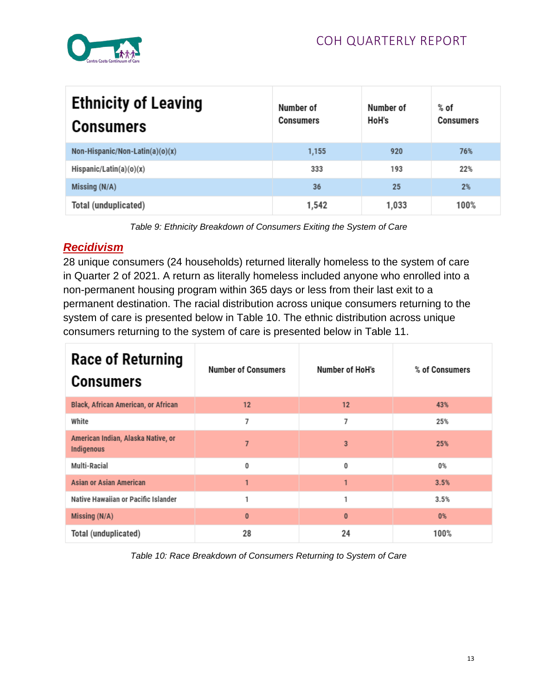

| <b>Ethnicity of Leaving</b><br><b>Consumers</b> | Number of<br><b>Consumers</b> | Number of<br>HoH's | $%$ of<br><b>Consumers</b> |
|-------------------------------------------------|-------------------------------|--------------------|----------------------------|
| Non-Hispanic/Non-Latin(a)(o)(x)                 | 1,155                         | 920                | 76%                        |
| Hispanic/Latin(a)(o)(x)                         | 333                           | 193                | 22%                        |
| Missing (N/A)                                   | 36                            | 25                 | 2%                         |
| Total (unduplicated)                            | 1,542                         | 1,033              | 100%                       |

*Table 9: Ethnicity Breakdown of Consumers Exiting the System of Care*

# *Recidivism*

28 unique consumers (24 households) returned literally homeless to the system of care in Quarter 2 of 2021. A return as literally homeless included anyone who enrolled into a non-permanent housing program within 365 days or less from their last exit to a permanent destination. The racial distribution across unique consumers returning to the system of care is presented below in Table 10. The ethnic distribution across unique consumers returning to the system of care is presented below in Table 11.

| <b>Race of Returning</b><br><b>Consumers</b>     | <b>Number of Consumers</b> | Number of HoH's | % of Consumers |
|--------------------------------------------------|----------------------------|-----------------|----------------|
| <b>Black, African American, or African</b>       | 12                         | 12              | 43%            |
| White                                            | 7                          | 7               | 25%            |
| American Indian, Alaska Native, or<br>Indigenous | $\overline{7}$             | 3               | 25%            |
| Multi-Racial                                     | 0                          | 0               | 0%             |
| <b>Asian or Asian American</b>                   | 1                          | 1               | 3.5%           |
| Native Hawaiian or Pacific Islander              | 1                          | 1               | 3.5%           |
| Missing $(N/A)$                                  | $\mathbf{0}$               | $\bf{0}$        | 0%             |
| Total (unduplicated)                             | 28                         | 24              | 100%           |

*Table 10: Race Breakdown of Consumers Returning to System of Care*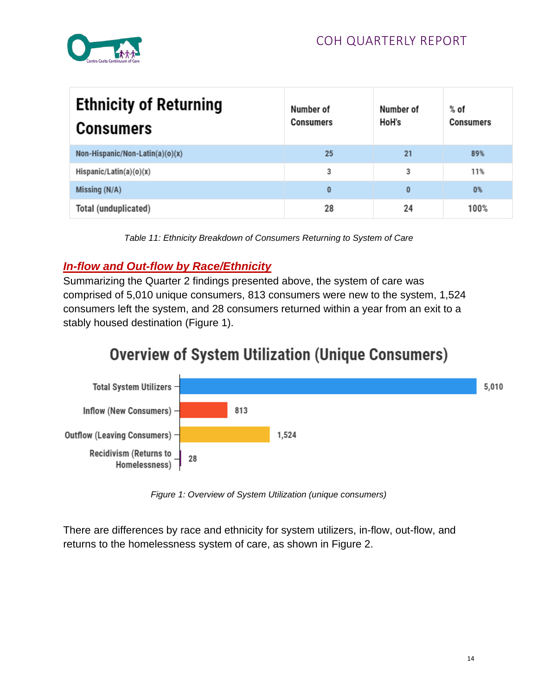

| <b>Ethnicity of Returning</b><br><b>Consumers</b> | Number of<br><b>Consumers</b> | Number of<br>HoH's | % of<br><b>Consumers</b> |
|---------------------------------------------------|-------------------------------|--------------------|--------------------------|
| Non-Hispanic/Non-Latin(a)(o)(x)                   | 25                            | 21                 | 89%                      |
| Hispanic/Latin(a)(o)(x)                           | 3                             | 3                  | 11%                      |
| Missing (N/A)                                     | 0                             | $\bf{0}$           | 0%                       |
| Total (unduplicated)                              | 28                            | 24                 | 100%                     |

*Table 11: Ethnicity Breakdown of Consumers Returning to System of Care*

# *In-flow and Out-flow by Race/Ethnicity*

Summarizing the Quarter 2 findings presented above, the system of care was comprised of 5,010 unique consumers, 813 consumers were new to the system, 1,524 consumers left the system, and 28 consumers returned within a year from an exit to a stably housed destination (Figure 1).

# **Overview of System Utilization (Unique Consumers)**



*Figure 1: Overview of System Utilization (unique consumers)*

There are differences by race and ethnicity for system utilizers, in-flow, out-flow, and returns to the homelessness system of care, as shown in Figure 2.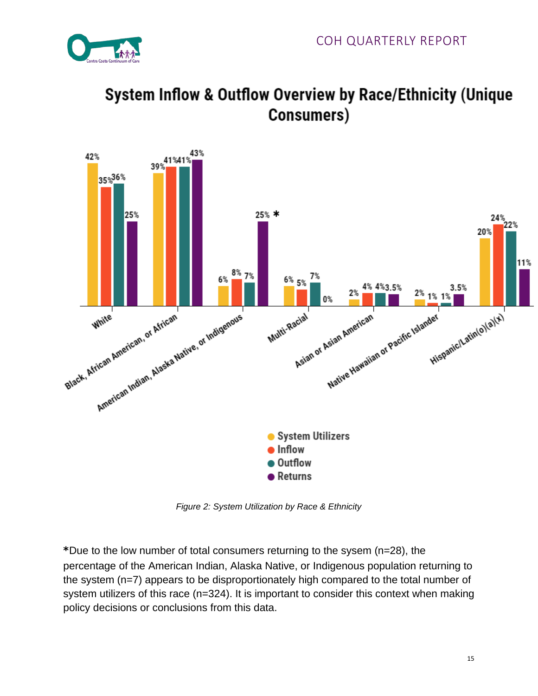





*Figure 2: System Utilization by Race & Ethnicity*

\*Due to the low number of total consumers returning to the sysem (n=28), the percentage of the American Indian, Alaska Native, or Indigenous population returning to the system (n=7) appears to be disproportionately high compared to the total number of system utilizers of this race (n=324). It is important to consider this context when making policy decisions or conclusions from this data.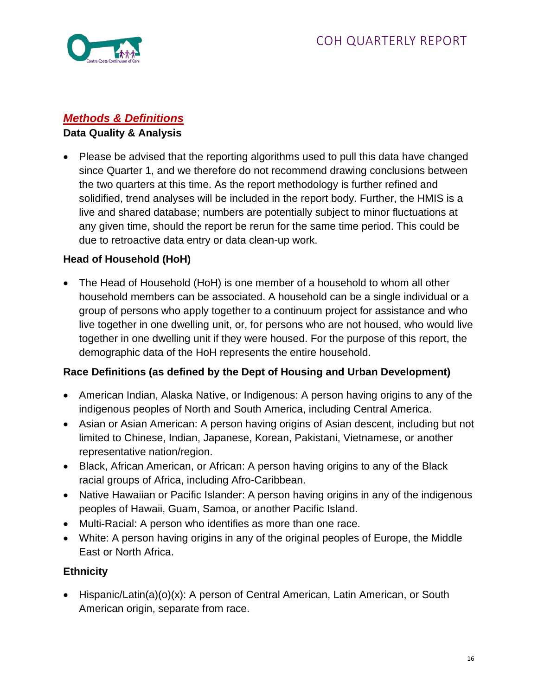

# *Methods & Definitions*

### **Data Quality & Analysis**

• Please be advised that the reporting algorithms used to pull this data have changed since Quarter 1, and we therefore do not recommend drawing conclusions between the two quarters at this time. As the report methodology is further refined and solidified, trend analyses will be included in the report body. Further, the HMIS is a live and shared database; numbers are potentially subject to minor fluctuations at any given time, should the report be rerun for the same time period. This could be due to retroactive data entry or data clean-up work.

# **Head of Household (HoH)**

• The Head of Household (HoH) is one member of a household to whom all other household members can be associated. A household can be a single individual or a group of persons who apply together to a continuum project for assistance and who live together in one dwelling unit, or, for persons who are not housed, who would live together in one dwelling unit if they were housed. For the purpose of this report, the demographic data of the HoH represents the entire household.

### **Race Definitions (as defined by the Dept of Housing and Urban Development)**

- American Indian, Alaska Native, or Indigenous: A person having origins to any of the indigenous peoples of North and South America, including Central America.
- Asian or Asian American: A person having origins of Asian descent, including but not limited to Chinese, Indian, Japanese, Korean, Pakistani, Vietnamese, or another representative nation/region.
- Black, African American, or African: A person having origins to any of the Black racial groups of Africa, including Afro-Caribbean.
- Native Hawaiian or Pacific Islander: A person having origins in any of the indigenous peoples of Hawaii, Guam, Samoa, or another Pacific Island.
- Multi-Racial: A person who identifies as more than one race.
- White: A person having origins in any of the original peoples of Europe, the Middle East or North Africa.

# **Ethnicity**

• Hispanic/Latin(a)(o)(x): A person of Central American, Latin American, or South American origin, separate from race.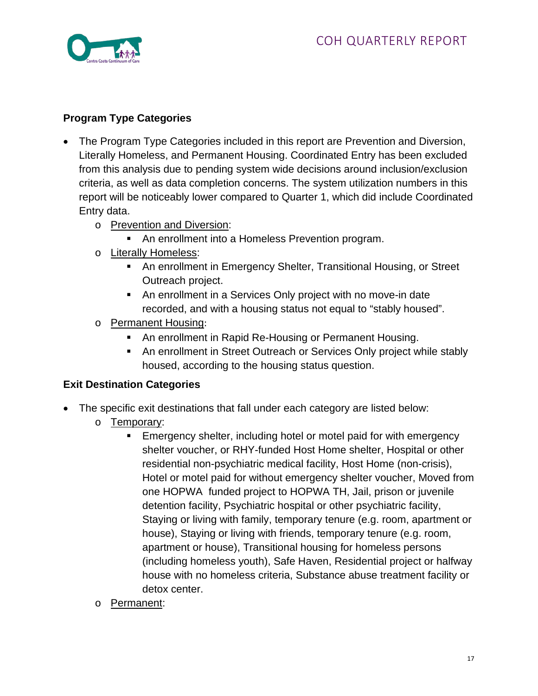

### **Program Type Categories**

- The Program Type Categories included in this report are Prevention and Diversion, Literally Homeless, and Permanent Housing. Coordinated Entry has been excluded from this analysis due to pending system wide decisions around inclusion/exclusion criteria, as well as data completion concerns. The system utilization numbers in this report will be noticeably lower compared to Quarter 1, which did include Coordinated Entry data.
	- o Prevention and Diversion:
		- An enrollment into a Homeless Prevention program.
	- o Literally Homeless:
		- An enrollment in Emergency Shelter, Transitional Housing, or Street Outreach project.
		- An enrollment in a Services Only project with no move-in date recorded, and with a housing status not equal to "stably housed".
	- o Permanent Housing:
		- **An enrollment in Rapid Re-Housing or Permanent Housing.**
		- An enrollment in Street Outreach or Services Only project while stably housed, according to the housing status question.

### **Exit Destination Categories**

- The specific exit destinations that fall under each category are listed below:
	- o Temporary:
		- **Emergency shelter, including hotel or motel paid for with emergency** shelter voucher, or RHY-funded Host Home shelter, Hospital or other residential non-psychiatric medical facility, Host Home (non-crisis), Hotel or motel paid for without emergency shelter voucher, Moved from one HOPWA funded project to HOPWA TH, Jail, prison or juvenile detention facility, Psychiatric hospital or other psychiatric facility, Staying or living with family, temporary tenure (e.g. room, apartment or house), Staying or living with friends, temporary tenure (e.g. room, apartment or house), Transitional housing for homeless persons (including homeless youth), Safe Haven, Residential project or halfway house with no homeless criteria, Substance abuse treatment facility or detox center.
	- o Permanent: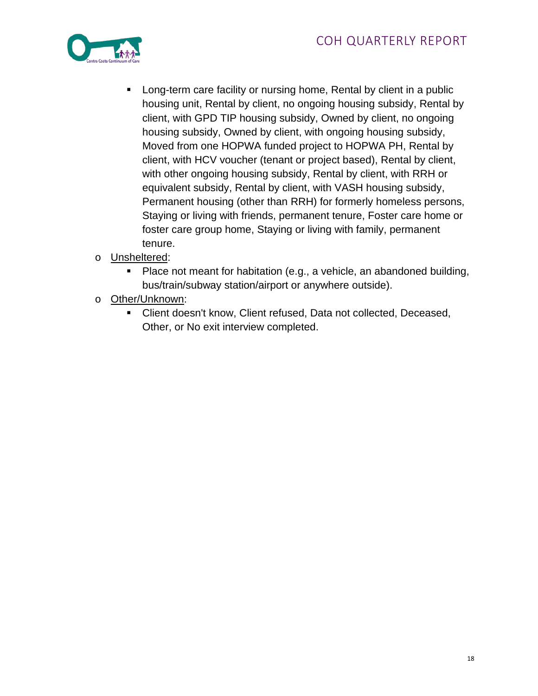

- Long-term care facility or nursing home, Rental by client in a public housing unit, Rental by client, no ongoing housing subsidy, Rental by client, with GPD TIP housing subsidy, Owned by client, no ongoing housing subsidy, Owned by client, with ongoing housing subsidy, Moved from one HOPWA funded project to HOPWA PH, Rental by client, with HCV voucher (tenant or project based), Rental by client, with other ongoing housing subsidy, Rental by client, with RRH or equivalent subsidy, Rental by client, with VASH housing subsidy, Permanent housing (other than RRH) for formerly homeless persons, Staying or living with friends, permanent tenure, Foster care home or foster care group home, Staying or living with family, permanent tenure.
- o Unsheltered:
	- Place not meant for habitation (e.g., a vehicle, an abandoned building, bus/train/subway station/airport or anywhere outside).
- o Other/Unknown:
	- Client doesn't know, Client refused, Data not collected, Deceased, Other, or No exit interview completed.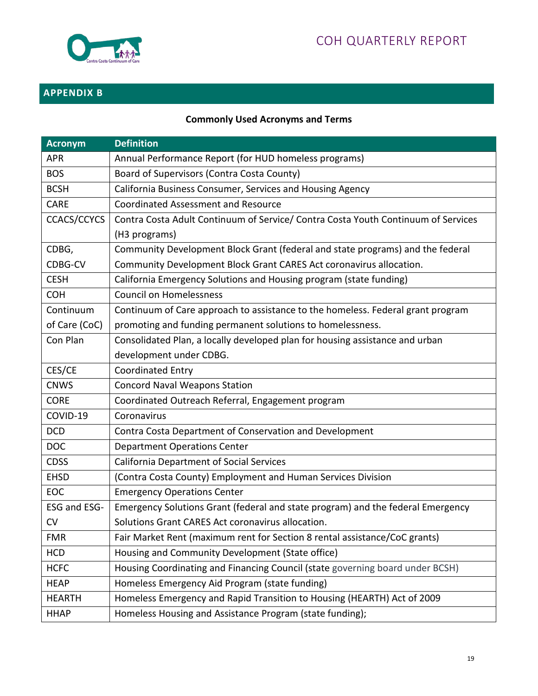

# **APPENDIX B**

# **Commonly Used Acronyms and Terms**

| <b>Acronym</b> | <b>Definition</b>                                                                                  |
|----------------|----------------------------------------------------------------------------------------------------|
| <b>APR</b>     | Annual Performance Report (for HUD homeless programs)                                              |
| <b>BOS</b>     | Board of Supervisors (Contra Costa County)                                                         |
| <b>BCSH</b>    | California Business Consumer, Services and Housing Agency                                          |
| <b>CARE</b>    | <b>Coordinated Assessment and Resource</b>                                                         |
| CCACS/CCYCS    | Contra Costa Adult Continuum of Service/ Contra Costa Youth Continuum of Services<br>(H3 programs) |
| CDBG,          | Community Development Block Grant (federal and state programs) and the federal                     |
| CDBG-CV        | Community Development Block Grant CARES Act coronavirus allocation.                                |
| <b>CESH</b>    | California Emergency Solutions and Housing program (state funding)                                 |
| <b>COH</b>     | <b>Council on Homelessness</b>                                                                     |
| Continuum      | Continuum of Care approach to assistance to the homeless. Federal grant program                    |
| of Care (CoC)  | promoting and funding permanent solutions to homelessness.                                         |
| Con Plan       | Consolidated Plan, a locally developed plan for housing assistance and urban                       |
|                | development under CDBG.                                                                            |
| CES/CE         | <b>Coordinated Entry</b>                                                                           |
| <b>CNWS</b>    | <b>Concord Naval Weapons Station</b>                                                               |
| <b>CORE</b>    | Coordinated Outreach Referral, Engagement program                                                  |
| COVID-19       | Coronavirus                                                                                        |
| <b>DCD</b>     | Contra Costa Department of Conservation and Development                                            |
| <b>DOC</b>     | <b>Department Operations Center</b>                                                                |
| <b>CDSS</b>    | <b>California Department of Social Services</b>                                                    |
| <b>EHSD</b>    | (Contra Costa County) Employment and Human Services Division                                       |
| <b>EOC</b>     | <b>Emergency Operations Center</b>                                                                 |
| ESG and ESG-   | Emergency Solutions Grant (federal and state program) and the federal Emergency                    |
| <b>CV</b>      | Solutions Grant CARES Act coronavirus allocation.                                                  |
| <b>FMR</b>     | Fair Market Rent (maximum rent for Section 8 rental assistance/CoC grants)                         |
| <b>HCD</b>     | Housing and Community Development (State office)                                                   |
| <b>HCFC</b>    | Housing Coordinating and Financing Council (state governing board under BCSH)                      |
| <b>HEAP</b>    | Homeless Emergency Aid Program (state funding)                                                     |
| <b>HEARTH</b>  | Homeless Emergency and Rapid Transition to Housing (HEARTH) Act of 2009                            |
| <b>HHAP</b>    | Homeless Housing and Assistance Program (state funding);                                           |